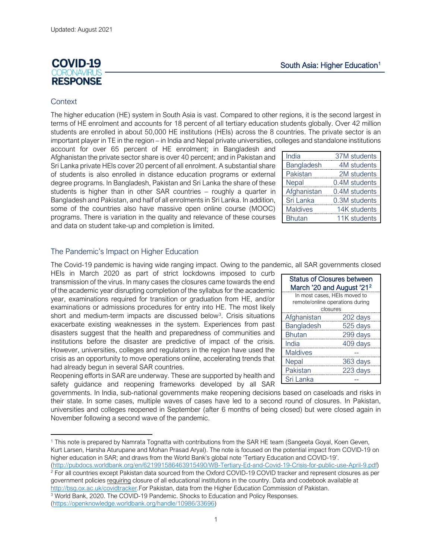# **COVID-19 IRONIAL RESPONSE**

## **Context**

The higher education (HE) system in South Asia is vast. Compared to other regions, it is the second largest in terms of HE enrolment and accounts for 18 percent of all tertiary education students globally. Over 42 million students are enrolled in about 50,000 HE institutions (HEIs) across the 8 countries. The private sector is an important player in TE in the region – in India and Nepal private universities, colleges and standalone institutions

account for over 65 percent of HE enrolment; in Bangladesh and Afghanistan the private sector share is over 40 percent; and in Pakistan and Sri Lanka private HEIs cover 20 percent of all enrolment. A substantial share of students is also enrolled in distance education programs or external degree programs. In Bangladesh, Pakistan and Sri Lanka the share of these students is higher than in other SAR countries – roughly a quarter in Bangladesh and Pakistan, and half of all enrolments in Sri Lanka. In addition, some of the countries also have massive open online course (MOOC) programs. There is variation in the quality and relevance of these courses and data on student take-up and completion is limited.

## The Pandemic's Impact on Higher Education

The Covid-19 pandemic is having wide ranging impact. Owing to the pandemic, all SAR governments closed

HEIs in March 2020 as part of strict lockdowns imposed to curb transmission of the virus. In many cases the closures came towards the end of the academic year disrupting completion of the syllabus for the academic year, examinations required for transition or graduation from HE, and/or examinations or admissions procedures for entry into HE. The most likely short and medium-term impacts are discussed below<sup>[3](#page-0-1)</sup>. Crisis situations exacerbate existing weaknesses in the system. Experiences from past disasters suggest that the health and preparedness of communities and institutions before the disaster are predictive of impact of the crisis. However, universities, colleges and regulators in the region have used the crisis as an opportunity to move operations online, accelerating trends that had already begun in several SAR countries.

Reopening efforts in SAR are underway. These are supported by health and safety guidance and reopening frameworks developed by all SAR

governments. In India, sub-national governments make reopening decisions based on caseloads and risks in their state. In some cases, multiple waves of cases have led to a second round of closures. In Pakistan, universities and colleges reopened in September (after 6 months of being closed) but were closed again in November following a second wave of the pandemic.

[\(https://openknowledge.worldbank.org/handle/10986/33696\)](https://openknowledge.worldbank.org/handle/10986/33696)

| India           | 37M students  |
|-----------------|---------------|
| Bangladesh      | 4M students   |
| Pakistan        | 2M students   |
| Nepal           | 0.4M students |
| Afghanistan     | 0.4M students |
| Sri Lanka       | 0.3M students |
| <b>Maldives</b> | 14K students  |
| <b>Bhutan</b>   | 11K students  |

| <b>Status of Closures between</b>     |          |  |
|---------------------------------------|----------|--|
| March '20 and August '21 <sup>2</sup> |          |  |
| In most cases, HEIs moved to          |          |  |
| remote/online operations during       |          |  |
| closures                              |          |  |
| Afghanistan                           | 202 days |  |
| <b>Bangladesh</b>                     | 525 days |  |
| <b>Bhutan</b>                         | 299 days |  |
| India                                 | 409 days |  |
| <b>Maldives</b>                       |          |  |
| Nepal                                 | 363 days |  |
| Pakistan                              | 223 days |  |
| Sri Lanka                             |          |  |

<span id="page-0-0"></span><sup>1</sup> This note is prepared by Namrata Tognatta with contributions from the SAR HE team (Sangeeta Goyal, Koen Geven, Kurt Larsen, Harsha Aturupane and Mohan Prasad Aryal). The note is focused on the potential impact from COVID-19 on higher education in SAR; and draws from the World Bank's global note 'Tertiary Education and COVID-19'.

<span id="page-0-2"></span>[<sup>\(</sup>http://pubdocs.worldbank.org/en/621991586463915490/WB-Tertiary-Ed-and-Covid-19-Crisis-for-public-use-April-9.pdf\)](http://pubdocs.worldbank.org/en/621991586463915490/WB-Tertiary-Ed-and-Covid-19-Crisis-for-public-use-April-9.pdf) <sup>2</sup> For all countries except Pakistan data sourced from the Oxford COVID-19 COVID tracker and represent closures as per government policies requiring closure of all educational institutions in the country. Data and codebook available at

[http://bsg.ox.ac.uk/covidtracker.F](http://bsg.ox.ac.uk/covidtracker)or Pakistan, data from the Higher Education Commission of Pakistan.

<span id="page-0-1"></span><sup>3</sup> World Bank, 2020. The COVID-19 Pandemic. Shocks to Education and Policy Responses.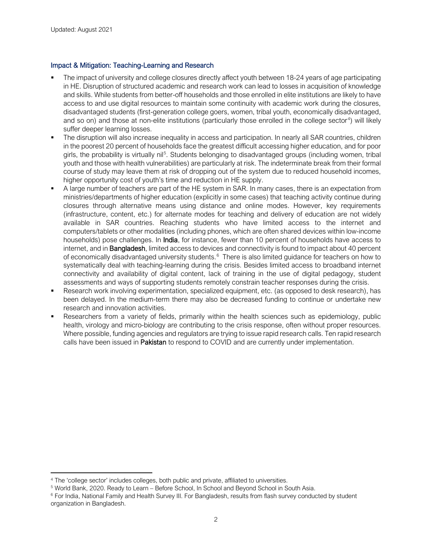#### Impact & Mitigation: Teaching-Learning and Research

- The impact of university and college closures directly affect youth between 18-24 years of age participating in HE. Disruption of structured academic and research work can lead to losses in acquisition of knowledge and skills. While students from better-off households and those enrolled in elite institutions are likely to have access to and use digital resources to maintain some continuity with academic work during the closures, disadvantaged students (first-generation college goers, women, tribal youth, economically disadvantaged, and so on) and those at non-elite institutions (particularly those enrolled in the college sector<sup>[4](#page-1-0)</sup>) will likely suffer deeper learning losses.
- The disruption will also increase inequality in access and participation. In nearly all SAR countries, children in the poorest 20 percent of households face the greatest difficult accessing higher education, and for poor girls, the probability is virtually nil<sup>[5](#page-1-1)</sup>. Students belonging to disadvantaged groups (including women, tribal youth and those with health vulnerabilities) are particularly at risk. The indeterminate break from their formal course of study may leave them at risk of dropping out of the system due to reduced household incomes, higher opportunity cost of youth's time and reduction in HE supply.
- A large number of teachers are part of the HE system in SAR. In many cases, there is an expectation from ministries/departments of higher education (explicitly in some cases) that teaching activity continue during closures through alternative means using distance and online modes. However, key requirements (infrastructure, content, etc.) for alternate modes for teaching and delivery of education are not widely available in SAR countries. Reaching students who have limited access to the internet and computers/tablets or other modalities (including phones, which are often shared devices within low-income households) pose challenges. In **India**, for instance, fewer than 10 percent of households have access to internet, and in **Bangladesh**, limited access to devices and connectivity is found to impact about 40 percent of economically disadvantaged university students.<sup>[6](#page-1-2)</sup> There is also limited guidance for teachers on how to systematically deal with teaching-learning during the crisis. Besides limited access to broadband internet connectivity and availability of digital content, lack of training in the use of digital pedagogy, student assessments and ways of supporting students remotely constrain teacher responses during the crisis.
- Research work involving experimentation, specialized equipment, etc. (as opposed to desk research), has been delayed. In the medium-term there may also be decreased funding to continue or undertake new research and innovation activities.
- Researchers from a variety of fields, primarily within the health sciences such as epidemiology, public health, virology and micro-biology are contributing to the crisis response, often without proper resources. Where possible, funding agencies and regulators are trying to issue rapid research calls. Ten rapid research calls have been issued in Pakistan to respond to COVID and are currently under implementation.

<span id="page-1-0"></span><sup>4</sup> The 'college sector' includes colleges, both public and private, affiliated to universities.

<span id="page-1-1"></span><sup>5</sup> World Bank, 2020. Ready to Learn – Before School, In School and Beyond School in South Asia.

<span id="page-1-2"></span><sup>&</sup>lt;sup>6</sup> For India, National Family and Health Survey III. For Bangladesh, results from flash survey conducted by student organization in Bangladesh.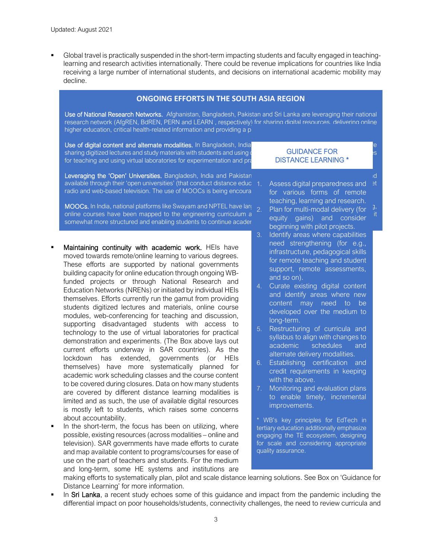Global travel is practically suspended in the short-term impacting students and faculty engaged in teachinglearning and research activities internationally. There could be revenue implications for countries like India receiving a large number of international students, and decisions on international academic mobility may decline.

#### **ONGOING EFFORTS IN THE SOUTH ASIA REGION**

Use of National Research Networks. Afghanistan, Bangladesh, Pakistan and Sri Lanka are leveraging their national research network (AfgREN, BdREN, PERN and LEARN , respectively) for sharing digital resources, delivering online higher education, critical health-related information and providing a p

Use of digital content and alternate modalities. In Bangladesh, India, Nepal, Pakistan and Sri Lanka, teachers sharing digitized lectures and study materials with students and using or for teaching and using virtual laboratories for experimentation and pra

GUIDANCE FOR DISTANCE LEARNING \*

Leveraging the 'Open' Universities. Bangladesh, India and Pakistan are sharing digital resources developed and available through their 'open universities' (that conduct distance educerty Assess digital preparedness and at radio and web-based television. The use of MOOCs is being encoura

**MOOCs.** In India, national platforms like Swayam and NPTEL have large  $\overline{2}$ . online courses have been mapped to the engineering curriculum and rated for  $\alpha$ somewhat more structured and enabling students to continue acader

- Maintaining continuity with academic work. HEIs have moved towards remote/online learning to various degrees. These efforts are supported by national governments building capacity for online education through ongoing WBfunded projects or through National Research and Education Networks (NRENs) or initiated by individual HEIs themselves. Efforts currently run the gamut from providing students digitized lectures and materials, online course modules, web-conferencing for teaching and discussion, supporting disadvantaged students with access to technology to the use of virtual laboratories for practical demonstration and experiments. (The Box above lays out current efforts underway in SAR countries). As the lockdown has extended, governments (or HEIs themselves) have more systematically planned for academic work scheduling classes and the course content to be covered during closures. Data on how many students are covered by different distance learning modalities is limited and as such, the use of available digital resources is mostly left to students, which raises some concerns about accountability.
- In the short-term, the focus has been on utilizing, where possible, existing resources (across modalities – online and television). SAR governments have made efforts to curate and map available content to programs/courses for ease of use on the part of teachers and students. For the medium and long-term, some HE systems and institutions are

1. Assess digital preparedness and for various forms of remote teaching, learning and research.

- Plan for multi-modal delivery (for equity gains) and consider beginning with pilot projects.
- 3. Identify areas where capabilities need strengthening (for e.g., infrastructure, pedagogical skills for remote teaching and student support, remote assessments, and so on).
- 4. Curate existing digital content and identify areas where new content may need to be developed over the medium to long-term.
- 5. Restructuring of curricula and syllabus to align with changes to academic schedules and alternate delivery modalities.
- 6. Establishing certification and credit requirements in keeping with the above.
- 7. Monitoring and evaluation plans to enable timely, incremental improvements.

\* WB's key principles for EdTech in tertiary education additionally emphasize engaging the TE ecosystem, designing for scale and considering appropriate quality assurance.

making efforts to systematically plan, pilot and scale distance learning solutions. See Box on 'Guidance for Distance Learning' for more information.

In Sri Lanka, a recent study echoes some of this guidance and impact from the pandemic including the differential impact on poor households/students, connectivity challenges, the need to review curricula and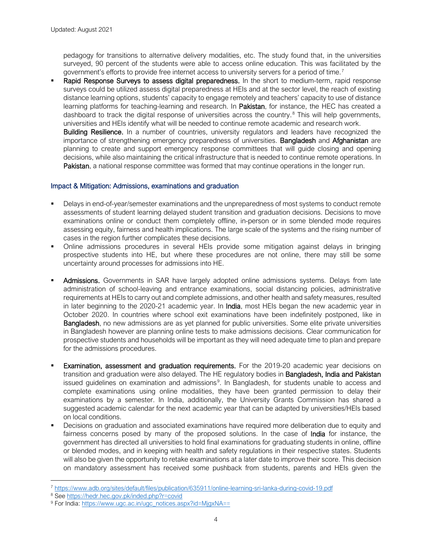pedagogy for transitions to alternative delivery modalities, etc. The study found that, in the universities surveyed, 90 percent of the students were able to access online education. This was facilitated by the government's efforts to provide free internet access to university servers for a period of time.<sup>[7](#page-3-0)</sup>

Rapid Response Surveys to assess digital preparedness. In the short to medium-term, rapid response surveys could be utilized assess digital preparedness at HEIs and at the sector level, the reach of existing distance learning options, students' capacity to engage remotely and teachers' capacity to use of distance learning platforms for teaching-learning and research. In Pakistan, for instance, the HEC has created a dashboard to track the digital response of universities across the country.<sup>[8](#page-3-1)</sup> This will help governments, universities and HEIs identify what will be needed to continue remote academic and research work.

Building Resilience. In a number of countries, university regulators and leaders have recognized the importance of strengthening emergency preparedness of universities. **Bangladesh** and Afghanistan are planning to create and support emergency response committees that will guide closing and opening decisions, while also maintaining the critical infrastructure that is needed to continue remote operations. In Pakistan, a national response committee was formed that may continue operations in the longer run.

## Impact & Mitigation: Admissions, examinations and graduation

- Delays in end-of-year/semester examinations and the unpreparedness of most systems to conduct remote assessments of student learning delayed student transition and graduation decisions. Decisions to move examinations online or conduct them completely offline, in-person or in some blended mode requires assessing equity, fairness and health implications. The large scale of the systems and the rising number of cases in the region further complicates these decisions.
- Online admissions procedures in several HEIs provide some mitigation against delays in bringing prospective students into HE, but where these procedures are not online, there may still be some uncertainty around processes for admissions into HE.
- Admissions. Governments in SAR have largely adopted online admissions systems. Delays from late administration of school-leaving and entrance examinations, social distancing policies, administrative requirements at HEIs to carry out and complete admissions, and other health and safety measures, resulted in later beginning to the 2020-21 academic year. In India, most HEIs began the new academic year in October 2020. In countries where school exit examinations have been indefinitely postponed, like in **Bangladesh**, no new admissions are as yet planned for public universities. Some elite private universities in Bangladesh however are planning online tests to make admissions decisions. Clear communication for prospective students and households will be important as they will need adequate time to plan and prepare for the admissions procedures.
- Examination, assessment and graduation requirements. For the 2019-20 academic year decisions on transition and graduation were also delayed. The HE regulatory bodies in **Bangladesh, India and Pakistan** issued guidelines on examination and admissions<sup>[9](#page-3-2)</sup>. In Bangladesh, for students unable to access and complete examinations using online modalities, they have been granted permission to delay their examinations by a semester. In India, additionally, the University Grants Commission has shared a suggested academic calendar for the next academic year that can be adapted by universities/HEIs based on local conditions.
- Decisions on graduation and associated examinations have required more deliberation due to equity and fairness concerns posed by many of the proposed solutions. In the case of **India** for instance, the government has directed all universities to hold final examinations for graduating students in online, offline or blended modes, and in keeping with health and safety regulations in their respective states. Students will also be given the opportunity to retake examinations at a later date to improve their score. This decision on mandatory assessment has received some pushback from students, parents and HEIs given the

<span id="page-3-0"></span><sup>7</sup> <https://www.adb.org/sites/default/files/publication/635911/online-learning-sri-lanka-during-covid-19.pdf>

<span id="page-3-1"></span><sup>8</sup> See<https://hedr.hec.gov.pk/inded.php?r=covid>

<span id="page-3-2"></span><sup>9</sup> For India: [https://www.ugc.ac.in/ugc\\_notices.aspx?id=MjgxNA==](https://www.ugc.ac.in/ugc_notices.aspx?id=MjgxNA==)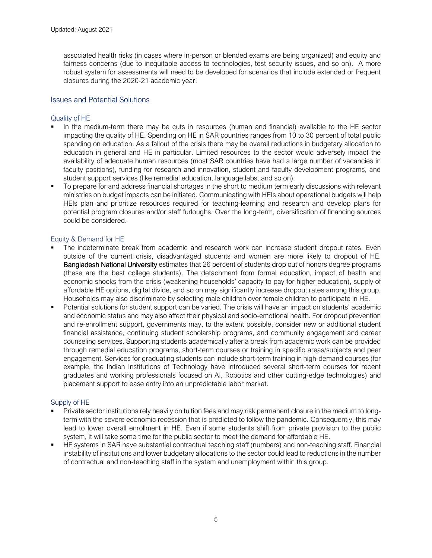associated health risks (in cases where in-person or blended exams are being organized) and equity and fairness concerns (due to inequitable access to technologies, test security issues, and so on). A more robust system for assessments will need to be developed for scenarios that include extended or frequent closures during the 2020-21 academic year.

### Issues and Potential Solutions

#### Quality of HE

- In the medium-term there may be cuts in resources (human and financial) available to the HE sector impacting the quality of HE. Spending on HE in SAR countries ranges from 10 to 30 percent of total public spending on education. As a fallout of the crisis there may be overall reductions in budgetary allocation to education in general and HE in particular. Limited resources to the sector would adversely impact the availability of adequate human resources (most SAR countries have had a large number of vacancies in faculty positions), funding for research and innovation, student and faculty development programs, and student support services (like remedial education, language labs, and so on).
- To prepare for and address financial shortages in the short to medium term early discussions with relevant ministries on budget impacts can be initiated. Communicating with HEIs about operational budgets will help HEIs plan and prioritize resources required for teaching-learning and research and develop plans for potential program closures and/or staff furloughs. Over the long-term, diversification of financing sources could be considered.

#### Equity & Demand for HE

- The indeterminate break from academic and research work can increase student dropout rates. Even outside of the current crisis, disadvantaged students and women are more likely to dropout of HE. Bangladesh National University estimates that 26 percent of students drop out of honors degree programs (these are the best college students). The detachment from formal education, impact of health and economic shocks from the crisis (weakening households' capacity to pay for higher education), supply of affordable HE options, digital divide, and so on may significantly increase dropout rates among this group. Households may also discriminate by selecting male children over female children to participate in HE.
- Potential solutions for student support can be varied. The crisis will have an impact on students' academic and economic status and may also affect their physical and socio-emotional health. For dropout prevention and re-enrollment support, governments may, to the extent possible, consider new or additional student financial assistance, continuing student scholarship programs, and community engagement and career counseling services. Supporting students academically after a break from academic work can be provided through remedial education programs, short-term courses or training in specific areas/subjects and peer engagement. Services for graduating students can include short-term training in high-demand courses (for example, the Indian Institutions of Technology have introduced several short-term courses for recent graduates and working professionals focused on AI, Robotics and other cutting-edge technologies) and placement support to ease entry into an unpredictable labor market.

#### Supply of HE

- Private sector institutions rely heavily on tuition fees and may risk permanent closure in the medium to longterm with the severe economic recession that is predicted to follow the pandemic. Consequently, this may lead to lower overall enrollment in HE. Even if some students shift from private provision to the public system, it will take some time for the public sector to meet the demand for affordable HE.
- HE systems in SAR have substantial contractual teaching staff (numbers) and non-teaching staff. Financial instability of institutions and lower budgetary allocations to the sector could lead to reductions in the number of contractual and non-teaching staff in the system and unemployment within this group.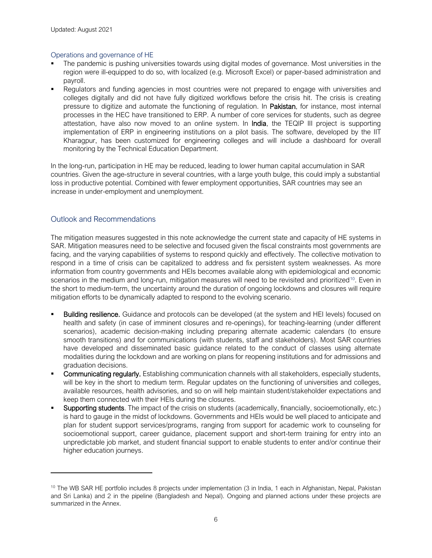#### Operations and governance of HE

- The pandemic is pushing universities towards using digital modes of governance. Most universities in the region were ill-equipped to do so, with localized (e.g. Microsoft Excel) or paper-based administration and payroll.
- Regulators and funding agencies in most countries were not prepared to engage with universities and colleges digitally and did not have fully digitized workflows before the crisis hit. The crisis is creating pressure to digitize and automate the functioning of regulation. In Pakistan, for instance, most internal processes in the HEC have transitioned to ERP. A number of core services for students, such as degree attestation, have also now moved to an online system. In India, the TEQIP III project is supporting implementation of ERP in engineering institutions on a pilot basis. The software, developed by the IIT Kharagpur, has been customized for engineering colleges and will include a dashboard for overall monitoring by the Technical Education Department.

In the long-run, participation in HE may be reduced, leading to lower human capital accumulation in SAR countries. Given the age-structure in several countries, with a large youth bulge, this could imply a substantial loss in productive potential. Combined with fewer employment opportunities, SAR countries may see an increase in under-employment and unemployment.

## Outlook and Recommendations

The mitigation measures suggested in this note acknowledge the current state and capacity of HE systems in SAR. Mitigation measures need to be selective and focused given the fiscal constraints most governments are facing, and the varying capabilities of systems to respond quickly and effectively. The collective motivation to respond in a time of crisis can be capitalized to address and fix persistent system weaknesses. As more information from country governments and HEIs becomes available along with epidemiological and economic scenarios in the medium and long-run, mitigation measures will need to be revisited and prioritized<sup>10</sup>. Even in the short to medium-term, the uncertainty around the duration of ongoing lockdowns and closures will require mitigation efforts to be dynamically adapted to respond to the evolving scenario.

- Building resilience. Guidance and protocols can be developed (at the system and HEI levels) focused on health and safety (in case of imminent closures and re-openings), for teaching-learning (under different scenarios), academic decision-making including preparing alternate academic calendars (to ensure smooth transitions) and for communications (with students, staff and stakeholders). Most SAR countries have developed and disseminated basic guidance related to the conduct of classes using alternate modalities during the lockdown and are working on plans for reopening institutions and for admissions and graduation decisions.
- Communicating regularly. Establishing communication channels with all stakeholders, especially students, will be key in the short to medium term. Regular updates on the functioning of universities and colleges, available resources, health advisories, and so on will help maintain student/stakeholder expectations and keep them connected with their HEIs during the closures.
- Supporting students. The impact of the crisis on students (academically, financially, socioemotionally, etc.) is hard to gauge in the midst of lockdowns. Governments and HEIs would be well placed to anticipate and plan for student support services/programs, ranging from support for academic work to counseling for socioemotional support, career guidance, placement support and short-term training for entry into an unpredictable job market, and student financial support to enable students to enter and/or continue their higher education journeys.

<span id="page-5-0"></span><sup>&</sup>lt;sup>10</sup> The WB SAR HE portfolio includes 8 projects under implementation (3 in India, 1 each in Afghanistan, Nepal, Pakistan and Sri Lanka) and 2 in the pipeline (Bangladesh and Nepal). Ongoing and planned actions under these projects are summarized in the Annex.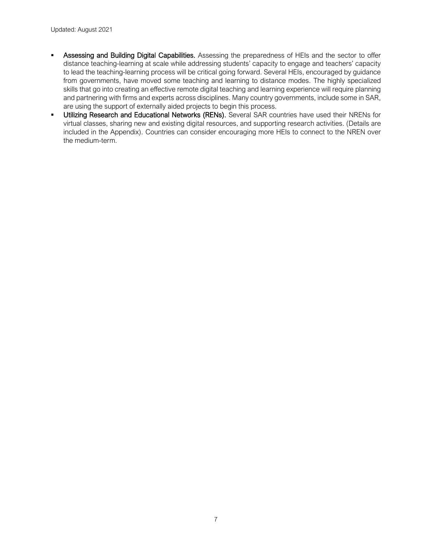- Assessing and Building Digital Capabilities. Assessing the preparedness of HEIs and the sector to offer distance teaching-learning at scale while addressing students' capacity to engage and teachers' capacity to lead the teaching-learning process will be critical going forward. Several HEIs, encouraged by guidance from governments, have moved some teaching and learning to distance modes. The highly specialized skills that go into creating an effective remote digital teaching and learning experience will require planning and partnering with firms and experts across disciplines. Many country governments, include some in SAR, are using the support of externally aided projects to begin this process.
- Utilizing Research and Educational Networks (RENs). Several SAR countries have used their NRENs for virtual classes, sharing new and existing digital resources, and supporting research activities. (Details are included in the Appendix). Countries can consider encouraging more HEIs to connect to the NREN over the medium-term.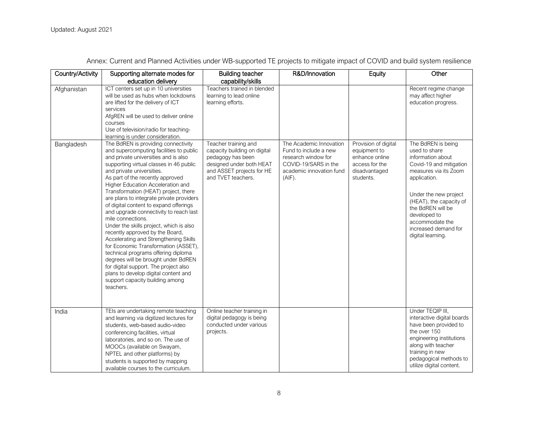| Country/Activity | Supporting alternate modes for<br>education delivery                                                                                                                                                                                                                                                                                                                                                                                                                                                                                                                                                                                                                                                                                                                                                                                               | <b>Building teacher</b><br>capability/skills                                                                                                             | R&D/Innovation                                                                                                                        | Equity                                                                                                 | Other                                                                                                                                                                                                                                                                                 |
|------------------|----------------------------------------------------------------------------------------------------------------------------------------------------------------------------------------------------------------------------------------------------------------------------------------------------------------------------------------------------------------------------------------------------------------------------------------------------------------------------------------------------------------------------------------------------------------------------------------------------------------------------------------------------------------------------------------------------------------------------------------------------------------------------------------------------------------------------------------------------|----------------------------------------------------------------------------------------------------------------------------------------------------------|---------------------------------------------------------------------------------------------------------------------------------------|--------------------------------------------------------------------------------------------------------|---------------------------------------------------------------------------------------------------------------------------------------------------------------------------------------------------------------------------------------------------------------------------------------|
| Afghanistan      | ICT centers set up in 10 universities<br>will be used as hubs when lockdowns<br>are lifted for the delivery of ICT<br>services<br>AfgREN will be used to deliver online<br>courses<br>Use of television/radio for teaching-<br>learning is under consideration.                                                                                                                                                                                                                                                                                                                                                                                                                                                                                                                                                                                    | Teachers trained in blended<br>learning to lead online<br>learning efforts.                                                                              |                                                                                                                                       |                                                                                                        | Recent regime change<br>may affect higher<br>education progress.                                                                                                                                                                                                                      |
| Bangladesh       | The BdREN is providing connectivity<br>and supercomputing facilities to public<br>and private universities and is also<br>supporting virtual classes in 46 public<br>and private universities.<br>As part of the recently approved<br>Higher Education Acceleration and<br>Transformation (HEAT) project, there<br>are plans to integrate private providers<br>of digital content to expand offerings<br>and upgrade connectivity to reach last<br>mile connections.<br>Under the skills project, which is also<br>recently approved by the Board,<br>Accelerating and Strengthening Skills<br>for Economic Transformation (ASSET),<br>technical programs offering diploma<br>degrees will be brought under BdREN<br>for digital support. The project also<br>plans to develop digital content and<br>support capacity building among<br>teachers. | Teacher training and<br>capacity building on digital<br>pedagogy has been<br>designed under both HEAT<br>and ASSET projects for HE<br>and TVET teachers. | The Academic Innovation<br>Fund to include a new<br>research window for<br>COVID-19/SARS in the<br>academic innovation fund<br>(AIF). | Provision of digital<br>equipment to<br>enhance online<br>access for the<br>disadvantaged<br>students. | The BdREN is being<br>used to share<br>information about<br>Covid-19 and mitigation<br>measures via its Zoom<br>application.<br>Under the new project<br>(HEAT), the capacity of<br>the BdREN will be<br>developed to<br>accommodate the<br>increased demand for<br>digital learning. |
| India            | TEIs are undertaking remote teaching<br>and learning via digitized lectures for<br>students, web-based audio-video<br>conferencing facilities, virtual<br>laboratories, and so on. The use of<br>MOOCs (available on Swayam,<br>NPTEL and other platforms) by<br>students is supported by mapping<br>available courses to the curriculum.                                                                                                                                                                                                                                                                                                                                                                                                                                                                                                          | Online teacher training in<br>digital pedagogy is being<br>conducted under various<br>projects.                                                          |                                                                                                                                       |                                                                                                        | Under TEQIP III,<br>interactive digital boards<br>have been provided to<br>the over 150<br>engineering institutions<br>along with teacher<br>training in new<br>pedagogical methods to<br>utilize digital content.                                                                    |

Annex: Current and Planned Activities under WB-supported TE projects to mitigate impact of COVID and build system resilience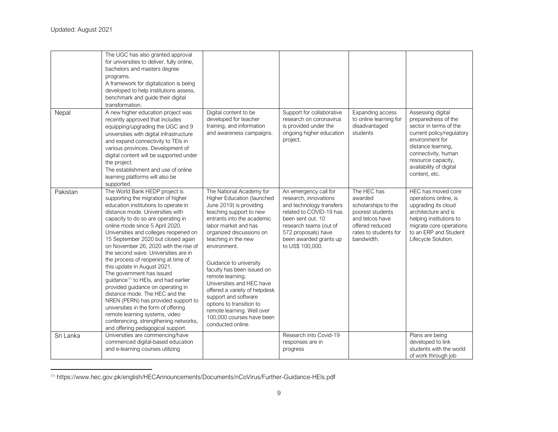<span id="page-8-0"></span>

|           | The UGC has also granted approval<br>for universities to deliver, fully online,<br>bachelors and masters degree<br>programs.<br>A framework for digitalization is being<br>developed to help institutions assess,<br>benchmark and guide their digital<br>transformation.                                                                                                                                                                                                                                                                                                                                                                                                                                                                                                                                             |                                                                                                                                                                                                                                                                                                                                                                                                                                                                                                                     |                                                                                                                                                                                                                           |                                                                                                                                                |                                                                                                                                                                                                                                   |
|-----------|-----------------------------------------------------------------------------------------------------------------------------------------------------------------------------------------------------------------------------------------------------------------------------------------------------------------------------------------------------------------------------------------------------------------------------------------------------------------------------------------------------------------------------------------------------------------------------------------------------------------------------------------------------------------------------------------------------------------------------------------------------------------------------------------------------------------------|---------------------------------------------------------------------------------------------------------------------------------------------------------------------------------------------------------------------------------------------------------------------------------------------------------------------------------------------------------------------------------------------------------------------------------------------------------------------------------------------------------------------|---------------------------------------------------------------------------------------------------------------------------------------------------------------------------------------------------------------------------|------------------------------------------------------------------------------------------------------------------------------------------------|-----------------------------------------------------------------------------------------------------------------------------------------------------------------------------------------------------------------------------------|
| Nepal     | A new higher education project was<br>recently approved that includes<br>equipping/upgrading the UGC and 9<br>universities with digital infrastructure<br>and expand connectivity to TEIs in<br>various provinces. Development of<br>digital content will be supported under<br>the project.<br>The establishment and use of online<br>learning platforms will also be<br>supported.                                                                                                                                                                                                                                                                                                                                                                                                                                  | Digital content to be<br>developed for teacher<br>training, and information<br>and awareness campaigns.                                                                                                                                                                                                                                                                                                                                                                                                             | Support for collaborative<br>research on coronavirus<br>is provided under the<br>ongoing higher education<br>project.                                                                                                     | Expanding access<br>to online learning for<br>disadvantaged<br>students                                                                        | Assessing digital<br>preparedness of the<br>sector in terms of the<br>current policy/regulatory<br>environment for<br>distance learning,<br>connectivity, human<br>resource capacity,<br>availability of digital<br>content, etc. |
| Pakistan  | The World Bank HEDP project is<br>supporting the migration of higher<br>education institutions to operate in<br>distance mode. Universities with<br>capacity to do so are operating in<br>online mode since 5 April 2020.<br>Universities and colleges reopened on<br>15 September 2020 but closed again<br>on November 26, 2020 with the rise of<br>the second wave. Universities are in<br>the process of reopening at time of<br>this update in August 2021.<br>The government has issued<br>guidance <sup>11</sup> to HEIs, and had earlier<br>provided guidance on operating in<br>distance mode. The HEC and the<br>NREN (PERN) has provided support to<br>universities in the form of offering<br>remote learning systems, video<br>conferencing, strengthening networks,<br>and offering pedagogical support. | The National Academy for<br>Higher Education (launched<br>June 2019) is providing<br>teaching support to new<br>entrants into the academic<br>labor market and has<br>organized discussions on<br>teaching in the new<br>environment.<br>Guidance to university<br>faculty has been issued on<br>remote learning.<br>Universities and HEC have<br>offered a variety of helpdesk<br>support and software<br>options to transition to<br>remote learning. Well over<br>100,000 courses have been<br>conducted online. | An emergency call for<br>research, innovations<br>and technology transfers<br>related to COVID-19 has<br>been sent out. 10<br>research teams (out of<br>572 proposals) have<br>been awarded grants up<br>to US\$ 100,000. | The HEC has<br>awarded<br>scholarships to the<br>poorest students<br>and telcos have<br>offered reduced<br>rates to students for<br>bandwidth. | HEC has moved core<br>operations online, is<br>upgrading its cloud<br>architecture and is<br>helping institutions to<br>migrate core operations<br>to an ERP and Student<br>Lifecycle Solution.                                   |
| Sri Lanka | Universities are commencing/have<br>commenced digital-based education<br>and e-learning courses utilizing                                                                                                                                                                                                                                                                                                                                                                                                                                                                                                                                                                                                                                                                                                             |                                                                                                                                                                                                                                                                                                                                                                                                                                                                                                                     | Research into Covid-19<br>responses are in<br>progress                                                                                                                                                                    |                                                                                                                                                | Plans are being<br>developed to link<br>students with the world<br>of work through job                                                                                                                                            |

<sup>11</sup> https://www.hec.gov.pk/english/HECAnnouncements/Documents/nCoVirus/Further-Guidance-HEIs.pdf